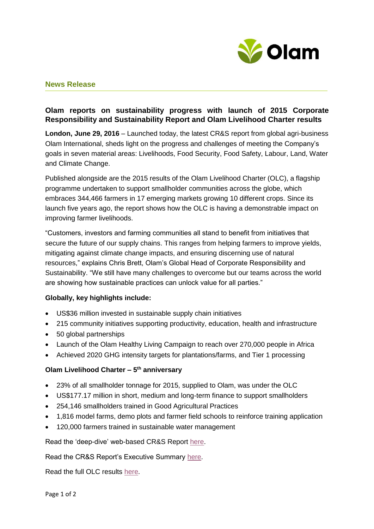

## **News Release**

# **Olam reports on sustainability progress with launch of 2015 Corporate Responsibility and Sustainability Report and Olam Livelihood Charter results**

**London, June 29, 2016** – Launched today, the latest CR&S report from global agri-business Olam International, sheds light on the progress and challenges of meeting the Company's goals in seven material areas: Livelihoods, Food Security, Food Safety, Labour, Land, Water and Climate Change.

Published alongside are the 2015 results of the Olam Livelihood Charter (OLC), a flagship programme undertaken to support smallholder communities across the globe, which embraces 344,466 farmers in 17 emerging markets growing 10 different crops. Since its launch five years ago, the report shows how the OLC is having a demonstrable impact on improving farmer livelihoods.

"Customers, investors and farming communities all stand to benefit from initiatives that secure the future of our supply chains. This ranges from helping farmers to improve yields, mitigating against climate change impacts, and ensuring discerning use of natural resources," explains Chris Brett, Olam's Global Head of Corporate Responsibility and Sustainability. "We still have many challenges to overcome but our teams across the world are showing how sustainable practices can unlock value for all parties."

## **Globally, key highlights include:**

- US\$36 million invested in sustainable supply chain initiatives
- 215 community initiatives supporting productivity, education, health and infrastructure
- 50 global partnerships
- Launch of the Olam Healthy Living Campaign to reach over 270,000 people in Africa
- Achieved 2020 GHG intensity targets for plantations/farms, and Tier 1 processing

## **Olam Livelihood Charter – 5 th anniversary**

- 23% of all smallholder tonnage for 2015, supplied to Olam, was under the OLC
- US\$177.17 million in short, medium and long-term finance to support smallholders
- 254,146 smallholders trained in Good Agricultural Practices
- 1,816 model farms, demo plots and farmer field schools to reinforce training application
- 120,000 farmers trained in sustainable water management

Read the 'deep-dive' web-based CR&S Report [here.](http://olamgroup.com/sustainability/sustainability-reports/crs-report-2015/)

Read the CR&S Report's Executive Summary [here.](http://olamgroup.com/wp-content/uploads/2014/02/16395-Sustainability-Report-2016-Exec-summary_V17_20p_lowres.pdf)

Read the full OLC results [here.](http://olamgroup.com/wp-content/uploads/2014/02/OLC-brochure-2015_FINAL-screen.pdf)